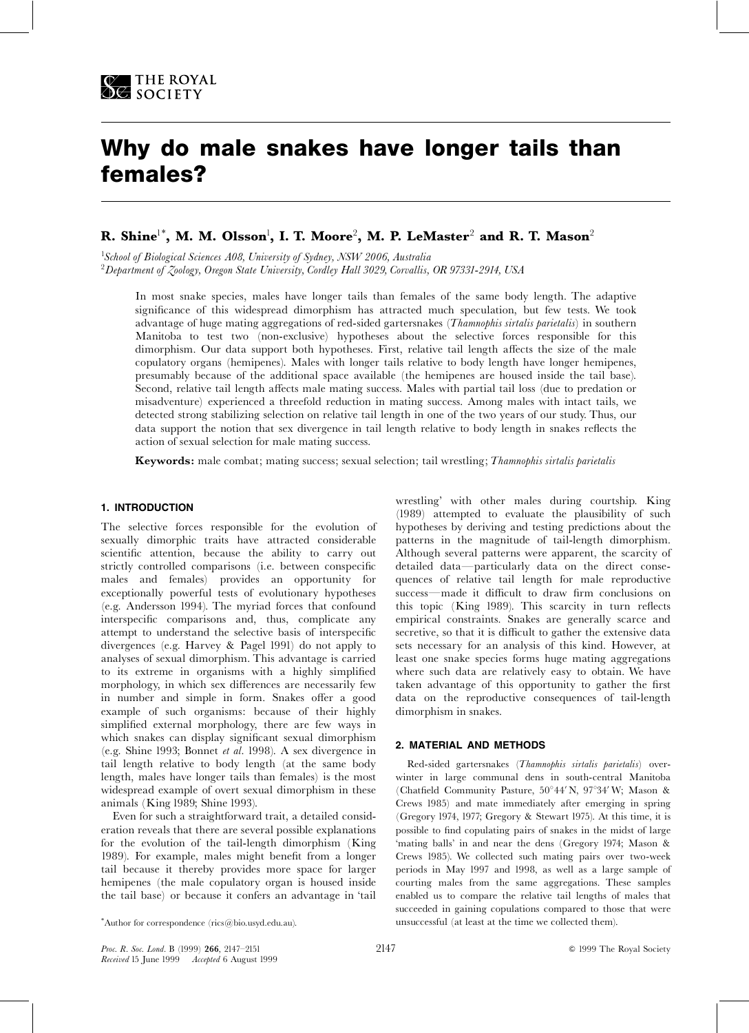

# Why do male snakes have longer tails than females?

# R. Shine<sup>1\*</sup>, M. M. Olsson<sup>1</sup>, I. T. Moore<sup>2</sup>, M. P. LeMaster<sup>2</sup> and R. T. Mason<sup>2</sup>

<sup>1</sup>School of Biological Sciences A08, University of Sydney, NSW 2006, Australia <sup>2</sup>Department of Zoology, Oregon State University, Cordley Hall 3029, Corvallis, OR 97331-2914, USA

In most snake species, males have longer tails than females of the same body length. The adaptive significance of this widespread dimorphism has attracted much speculation, but few tests. We took advantage of huge mating aggregations of red-sided gartersnakes (Thamnophis sirtalis parietalis) in southern Manitoba to test two (non-exclusive) hypotheses about the selective forces responsible for this dimorphism. Our data support both hypotheses. First, relative tail length affects the size of the male copulatory organs (hemipenes). Males with longer tails relative to body length have longer hemipenes, presumably because of the additional space available (the hemipenes are housed inside the tail base). Second, relative tail length affects male mating success. Males with partial tail loss (due to predation or misadventure) experienced a threefold reduction in mating success. Among males with intact tails, we detected strong stabilizing selection on relative tail length in one of the two years of our study. Thus, our data support the notion that sex divergence in tail length relative to body length in snakes reflects the action of sexual selection for male mating success.

**Keywords:** male combat; mating success; sexual selection; tail wrestling; *Thamnophis sirtalis parietalis* 

## 1. INTRODUCTION

The selective forces responsible for the evolution of sexually dimorphic traits have attracted considerable scientific attention, because the ability to carry out strictly controlled comparisons (i.e. between conspecific males and females) provides an opportunity for exceptionally powerful tests of evolutionary hypotheses (e.g. Andersson 1994). The myriad forces that confound interspecific comparisons and, thus, complicate any attempt to understand the selective basis of interspecific divergences (e.g. Harvey & Pagel 1991) do not apply to analyses of sexual dimorphism. This advantage is carried to its extreme in organisms with a highly simplified morphology, in which sex differences are necessarily few in number and simple in form. Snakes offer a good example of such organisms: because of their highly simplified external morphology, there are few ways in which snakes can display significant sexual dimorphism (e.g. Shine 1993; Bonnet et al. 1998). A sex divergence in tail length relative to body length (at the same body length, males have longer tails than females) is the most widespread example of overt sexual dimorphism in these animals (King 1989; Shine 1993).

Even for such a straightforward trait, a detailed consideration reveals that there are several possible explanations for the evolution of the tail-length dimorphism (King 1989). For example, males might benefit from a longer tail because it thereby provides more space for larger hemipenes (the male copulatory organ is housed inside the tail base) or because it confers an advantage in 'tail

wrestling' with other males during courtship. King (1989) attempted to evaluate the plausibility of such hypotheses by deriving and testing predictions about the patterns in the magnitude of tail-length dimorphism. Although several patterns were apparent, the scarcity of detailed data-particularly data on the direct consequences of relative tail length for male reproductive success-made it difficult to draw firm conclusions on this topic (King 1989). This scarcity in turn reflects empirical constraints. Snakes are generally scarce and secretive, so that it is difficult to gather the extensive data sets necessary for an analysis of this kind. However, at least one snake species forms huge mating aggregations where such data are relatively easy to obtain. We have taken advantage of this opportunity to gather the first data on the reproductive consequences of tail-length dimorphism in snakes.

# 2. MATERIAL AND METHODS

Red-sided gartersnakes (Thamnophis sirtalis parietalis) overwinter in large communal dens in south-central Manitoba (Chatfield Community Pasture, 50°44'N, 97°34'W; Mason & Crews 1985) and mate immediately after emerging in spring (Gregory 1974, 1977; Gregory & Stewart 1975). At this time, it is possible to find copulating pairs of snakes in the midst of large 'mating balls' in and near the dens (Gregory 1974; Mason & Crews 1985). We collected such mating pairs over two-week periods in May 1997 and 1998, as well as a large sample of courting males from the same aggregations. These samples enabled us to compare the relative tail lengths of males that succeeded in gaining copulations compared to those that were unsuccessful (at least at the time we collected them).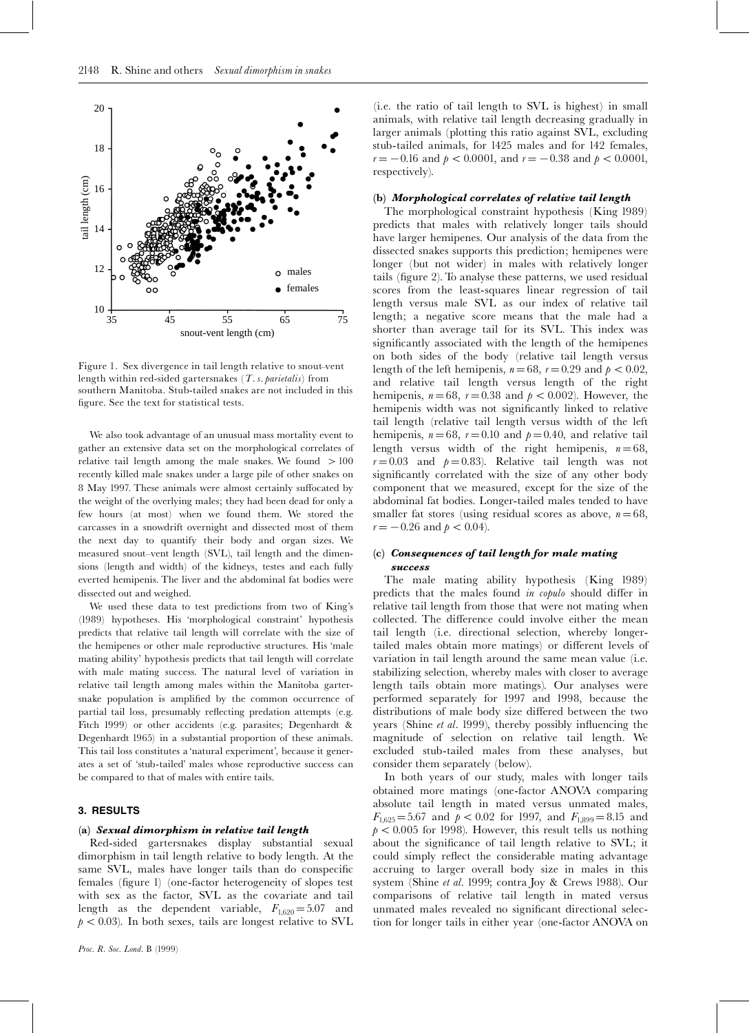

Figure 1. Sex divergence in tail length relative to snout-vent length within red-sided gartersnakes  $(T. s.$  parietalis) from southern Manitoba. Stub-tailed snakes are not included in this figure. See the text for statistical tests.

We also took advantage of an unusual mass mortality event to gather an extensive data set on the morphological correlates of relative tail length among the male snakes. We found  $>100$ recently killed male snakes under a large pile of other snakes on 8 May 1997. These animals were almost certainly suffocated by the weight of the overlying males; they had been dead for only a few hours (at most) when we found them. We stored the carcasses in a snowdrift overnight and dissected most of them the next day to quantify their body and organ sizes. We measured snout-vent length (SVL), tail length and the dimensions (length and width) of the kidneys, testes and each fully everted hemipenis. The liver and the abdominal fat bodies were dissected out and weighed.

We used these data to test predictions from two of King's (1989) hypotheses. His 'morphological constraint' hypothesis predicts that relative tail length will correlate with the size of the hemipenes or other male reproductive structures. His 'male mating ability' hypothesis predicts that tail length will correlate with male mating success. The natural level of variation in relative tail length among males within the Manitoba gartersnake population is amplified by the common occurrence of partial tail loss, presumably reflecting predation attempts (e.g. Fitch 1999) or other accidents (e.g. parasites; Degenhardt & Degenhardt 1965) in a substantial proportion of these animals. This tail loss constitutes a 'natural experiment', because it generates a set of 'stub-tailed' males whose reproductive success can be compared to that of males with entire tails.

#### 3. RESULTS

#### (a) Sexual dimorphism in relative tail length

Red-sided gartersnakes display substantial sexual dimorphism in tail length relative to body length. At the same SVL, males have longer tails than do conspecific females (figure 1) (one-factor heterogeneity of slopes test with sex as the factor, SVL as the covariate and tail length as the dependent variable,  $F_{1,620} = 5.07$  and  $p < 0.03$ ). In both sexes, tails are longest relative to SVL (i.e. the ratio of tail length to SVL is highest) in small animals, with relative tail length decreasing gradually in larger animals (plotting this ratio against SVL, excluding stub-tailed animals, for 1425 males and for 142 females,  $r = -0.16$  and  $p < 0.0001$ , and  $r = -0.38$  and  $p < 0.0001$ , respectively).

#### (b) Morphological correlates of relative tail length

The morphological constraint hypothesis (King 1989) predicts that males with relatively longer tails should have larger hemipenes. Our analysis of the data from the dissected snakes supports this prediction; hemipenes were longer (but not wider) in males with relatively longer tails (figure 2). To analyse these patterns, we used residual scores from the least-squares linear regression of tail length versus male SVL as our index of relative tail length; a negative score means that the male had a shorter than average tail for its SVL. This index was significantly associated with the length of the hemipenes on both sides of the body (relative tail length versus length of the left hemipenis,  $n = 68$ ,  $r = 0.29$  and  $p < 0.02$ , and relative tail length versus length of the right hemipenis,  $n=68$ ,  $r=0.38$  and  $p < 0.002$ ). However, the hemipenis width was not significantly linked to relative tail length (relative tail length versus width of the left hemipenis,  $n = 68$ ,  $r = 0.10$  and  $p = 0.40$ , and relative tail length versus width of the right hemipenis,  $n=68$ ,  $r=0.03$  and  $p=0.83$ ). Relative tail length was not significantly correlated with the size of any other body component that we measured, except for the size of the abdominal fat bodies. Longer-tailed males tended to have smaller fat stores (using residual scores as above,  $n = 68$ ,  $r = -0.26$  and  $p < 0.04$ ).

### (c) Consequences of tail length for male mating success

The male mating ability hypothesis (King 1989) predicts that the males found in copulo should differ in relative tail length from those that were not mating when collected. The difference could involve either the mean tail length (i.e. directional selection, whereby longertailed males obtain more matings) or different levels of variation in tail length around the same mean value (i.e. stabilizing selection, whereby males with closer to average length tails obtain more matings). Our analyses were performed separately for 1997 and 1998, because the distributions of male body size differed between the two years (Shine et al. 1999), thereby possibly influencing the magnitude of selection on relative tail length. We excluded stub-tailed males from these analyses, but consider them separately (below).

In both years of our study, males with longer tails obtained more matings (one-factor ANOVA comparing absolute tail length in mated versus unmated males,  $F_{1,625} = 5.67$  and  $p < 0.02$  for 1997, and  $F_{1,899} = 8.15$  and  $p < 0.005$  for 1998). However, this result tells us nothing about the significance of tail length relative to SVL; it could simply reflect the considerable mating advantage accruing to larger overall body size in males in this system (Shine et al. 1999; contra Joy & Crews 1988). Our comparisons of relative tail length in mated versus unmated males revealed no significant directional selection for longer tails in either year (one-factor ANOVA on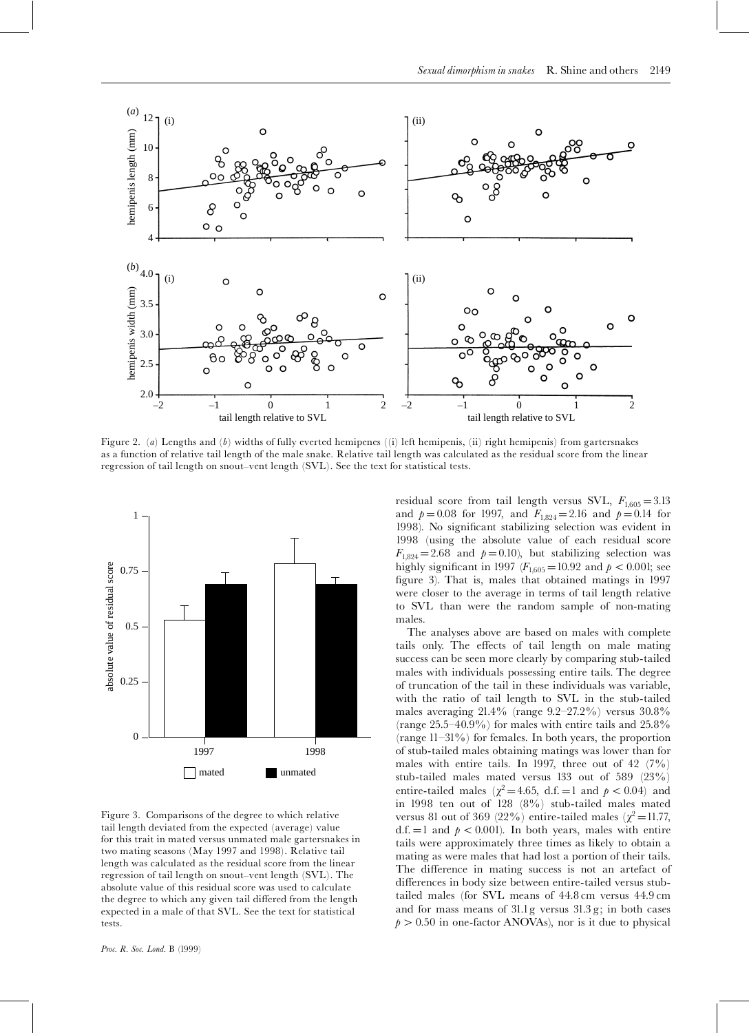

Figure 2. (a) Lengths and (b) widths of fully everted hemipenes ((i) left hemipenis, (ii) right hemipenis) from gartersnakes as a function of relative tail length of the male snake. Relative tail length was calculated as the residual score from the linear regression of tail length on snout-vent length (SVL). See the text for statistical tests.



Figure 3. Comparisons of the degree to which relative tail length deviated from the expected (average) value for this trait in mated versus unmated male gartersnakes in two mating seasons (May 1997 and 1998). Relative tail length was calculated as the residual score from the linear regression of tail length on snout-vent length (SVL). The absolute value of this residual score was used to calculate the degree to which any given tail differed from the length expected in a male of that SVL. See the text for statistical tests.

residual score from tail length versus SVL,  $F_{1,605} = 3.13$ and  $p = 0.08$  for 1997, and  $F_{1,824} = 2.16$  and  $p = 0.14$  for 1998). No significant stabilizing selection was evident in 1998 (using the absolute value of each residual score  $F_{1,824} = 2.68$  and  $p = 0.10$ ), but stabilizing selection was highly significant in 1997 ( $F_{1.605}$  = 10.92 and  $p < 0.001$ ; see figure 3). That is, males that obtained matings in 1997 were closer to the average in terms of tail length relative to SVL than were the random sample of non-mating males.

The analyses above are based on males with complete tails only. The effects of tail length on male mating success can be seen more clearly by comparing stub-tailed males with individuals possessing entire tails. The degree of truncation of the tail in these individuals was variable, with the ratio of tail length to SVL in the stub-tailed males averaging  $21.4\%$  (range  $9.2-27.2\%$ ) versus  $30.8\%$ (range  $25.5-40.9\%$ ) for males with entire tails and  $25.8\%$ (range  $11-31\%$ ) for females. In both years, the proportion of stub-tailed males obtaining matings was lower than for males with entire tails. In 1997, three out of 42  $(7%)$ stub-tailed males mated versus 133 out of 589 (23%) entire-tailed males ( $\chi^2$  = 4.65, d.f. = 1 and  $p < 0.04$ ) and in 1998 ten out of 128 (8%) stub-tailed males mated versus 81 out of 369 (22%) entire-tailed males ( $\chi^2$  = 11.77, d.f. = 1 and  $p < 0.001$ ). In both years, males with entire tails were approximately three times as likely to obtain a mating as were males that had lost a portion of their tails. The difference in mating success is not an artefact of differences in body size between entire-tailed versus stubtailed males (for SVL means of 44.8 cm versus 44.9 cm and for mass means of  $31.1\,\text{g}$  versus  $31.3\,\text{g}$ ; in both cases  $p > 0.50$  in one-factor ANOVAs), nor is it due to physical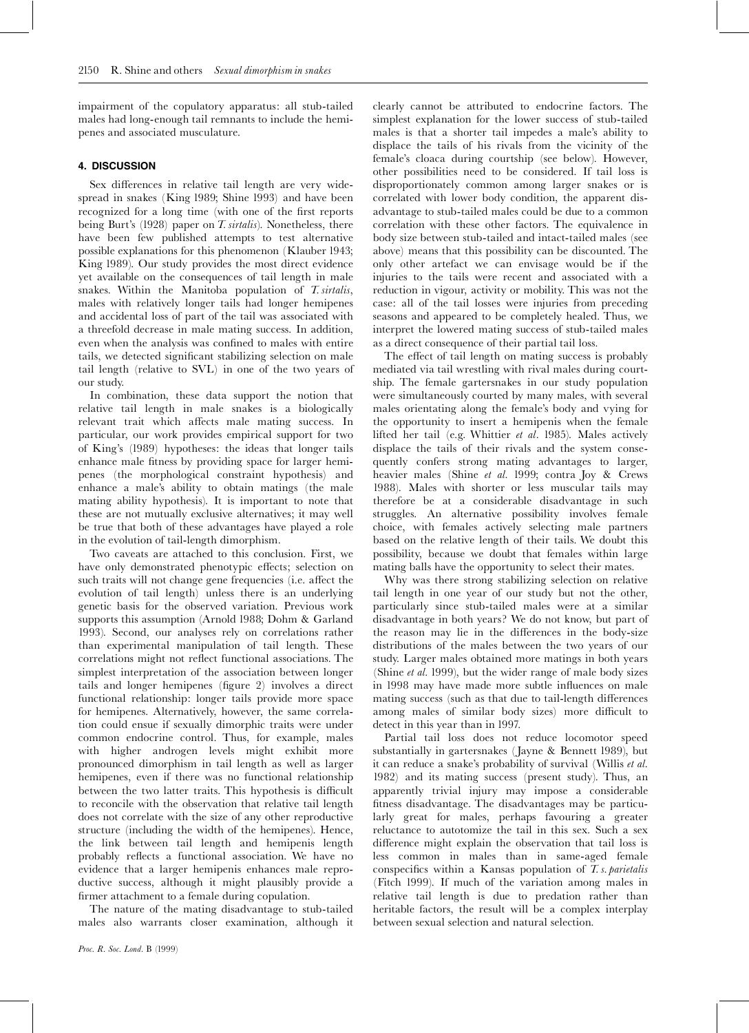impairment of the copulatory apparatus: all stub-tailed males had long-enough tail remnants to include the hemipenes and associated musculature.

## **4. DISCUSSION**

Sex differences in relative tail length are very widespread in snakes (King 1989; Shine 1993) and have been recognized for a long time (with one of the first reports being Burt's (1928) paper on T. sirtalis). Nonetheless, there have been few published attempts to test alternative possible explanations for this phenomenon (Klauber 1943; King 1989). Our study provides the most direct evidence yet available on the consequences of tail length in male snakes. Within the Manitoba population of T. sirtalis, males with relatively longer tails had longer hemipenes and accidental loss of part of the tail was associated with a threefold decrease in male mating success. In addition, even when the analysis was confined to males with entire tails, we detected significant stabilizing selection on male tail length (relative to SVL) in one of the two years of our study.

In combination, these data support the notion that relative tail length in male snakes is a biologically relevant trait which affects male mating success. In particular, our work provides empirical support for two of King's (1989) hypotheses: the ideas that longer tails enhance male fitness by providing space for larger hemipenes (the morphological constraint hypothesis) and enhance a male's ability to obtain matings (the male mating ability hypothesis). It is important to note that these are not mutually exclusive alternatives; it may well be true that both of these advantages have played a role in the evolution of tail-length dimorphism.

Two caveats are attached to this conclusion. First, we have only demonstrated phenotypic effects; selection on such traits will not change gene frequencies (i.e. affect the evolution of tail length) unless there is an underlying genetic basis for the observed variation. Previous work supports this assumption (Arnold 1988; Dohm & Garland 1993). Second, our analyses rely on correlations rather than experimental manipulation of tail length. These correlations might not reflect functional associations. The simplest interpretation of the association between longer tails and longer hemipenes (figure 2) involves a direct functional relationship: longer tails provide more space for hemipenes. Alternatively, however, the same correlation could ensue if sexually dimorphic traits were under common endocrine control. Thus, for example, males with higher androgen levels might exhibit more pronounced dimorphism in tail length as well as larger hemipenes, even if there was no functional relationship between the two latter traits. This hypothesis is difficult to reconcile with the observation that relative tail length does not correlate with the size of any other reproductive structure (including the width of the hemipenes). Hence, the link between tail length and hemipenis length probably reflects a functional association. We have no evidence that a larger hemipenis enhances male reproductive success, although it might plausibly provide a firmer attachment to a female during copulation.

The nature of the mating disadvantage to stub-tailed males also warrants closer examination, although it clearly cannot be attributed to endocrine factors. The simplest explanation for the lower success of stub-tailed males is that a shorter tail impedes a male's ability to displace the tails of his rivals from the vicinity of the female's cloaca during courtship (see below). However, other possibilities need to be considered. If tail loss is disproportionately common among larger snakes or is correlated with lower body condition, the apparent disadvantage to stub-tailed males could be due to a common correlation with these other factors. The equivalence in body size between stub-tailed and intact-tailed males (see above) means that this possibility can be discounted. The only other artefact we can envisage would be if the injuries to the tails were recent and associated with a reduction in vigour, activity or mobility. This was not the case: all of the tail losses were injuries from preceding seasons and appeared to be completely healed. Thus, we interpret the lowered mating success of stub-tailed males as a direct consequence of their partial tail loss.

The effect of tail length on mating success is probably mediated via tail wrestling with rival males during courtship. The female gartersnakes in our study population were simultaneously courted by many males, with several males orientating along the female's body and vying for the opportunity to insert a hemipenis when the female lifted her tail (e.g. Whittier et al. 1985). Males actively displace the tails of their rivals and the system consequently confers strong mating advantages to larger, heavier males (Shine et al. 1999; contra Joy & Crews 1988). Males with shorter or less muscular tails may therefore be at a considerable disadvantage in such struggles. An alternative possibility involves female choice, with females actively selecting male partners based on the relative length of their tails. We doubt this possibility, because we doubt that females within large mating balls have the opportunity to select their mates.

Why was there strong stabilizing selection on relative tail length in one year of our study but not the other, particularly since stub-tailed males were at a similar disadvantage in both years? We do not know, but part of the reason may lie in the differences in the body-size distributions of the males between the two years of our study. Larger males obtained more matings in both years (Shine et al. 1999), but the wider range of male body sizes in 1998 may have made more subtle influences on male mating success (such as that due to tail-length differences among males of similar body sizes) more difficult to detect in this year than in 1997.

Partial tail loss does not reduce locomotor speed substantially in gartersnakes (Jayne & Bennett 1989), but it can reduce a snake's probability of survival (Willis et al. 1982) and its mating success (present study). Thus, an apparently trivial injury may impose a considerable fitness disadvantage. The disadvantages may be particularly great for males, perhaps favouring a greater reluctance to autotomize the tail in this sex. Such a sex difference might explain the observation that tail loss is less common in males than in same-aged female conspecifics within a Kansas population of  $T$ . s. parietalis (Fitch 1999). If much of the variation among males in relative tail length is due to predation rather than heritable factors, the result will be a complex interplay between sexual selection and natural selection.